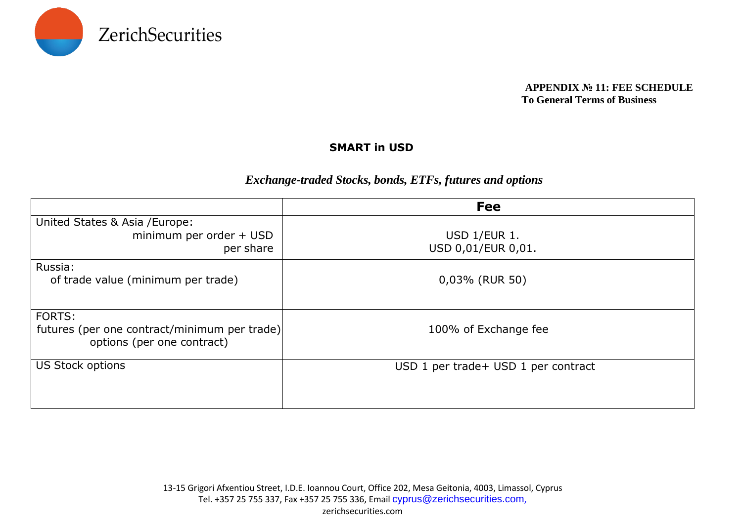

## **APPENDIX № 11: FEE SCHEDULE To General Terms of Business**

## **SMART in USD**

## *Exchange-traded Stocks, bonds, ETFs, futures and options*

|                                              | <b>Fee</b>                          |
|----------------------------------------------|-------------------------------------|
| United States & Asia / Europe:               |                                     |
| minimum per order + USD                      | USD 1/EUR 1.                        |
| per share                                    | USD 0,01/EUR 0,01.                  |
| Russia:                                      |                                     |
| of trade value (minimum per trade)           | 0,03% (RUR 50)                      |
|                                              |                                     |
| FORTS:                                       |                                     |
| futures (per one contract/minimum per trade) | 100% of Exchange fee                |
| options (per one contract)                   |                                     |
| <b>US Stock options</b>                      | USD 1 per trade+ USD 1 per contract |
|                                              |                                     |
|                                              |                                     |
|                                              |                                     |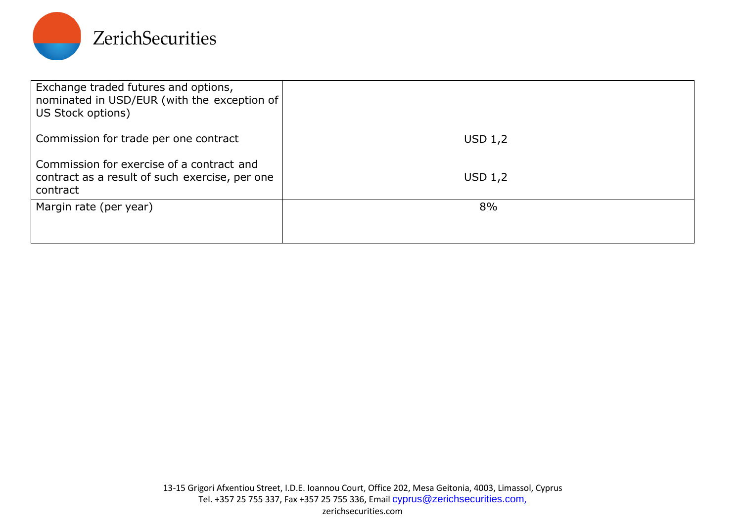

| Exchange traded futures and options,<br>nominated in USD/EUR (with the exception of<br>US Stock options) |           |
|----------------------------------------------------------------------------------------------------------|-----------|
| Commission for trade per one contract                                                                    | USD 1,2   |
| Commission for exercise of a contract and<br>contract as a result of such exercise, per one<br>contract  | USD $1,2$ |
| Margin rate (per year)                                                                                   | 8%        |
|                                                                                                          |           |